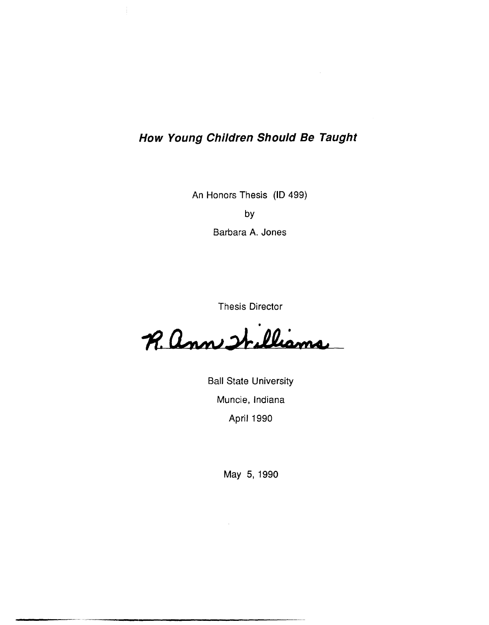# **How Young Children Should Be Taught**

An Honors Thesis **(10** 499)

by

Barbara A. Jones

Thesis Director

• R. ann Irelianne

Ball State University Muncie, Indiana April 1990

May 5,1990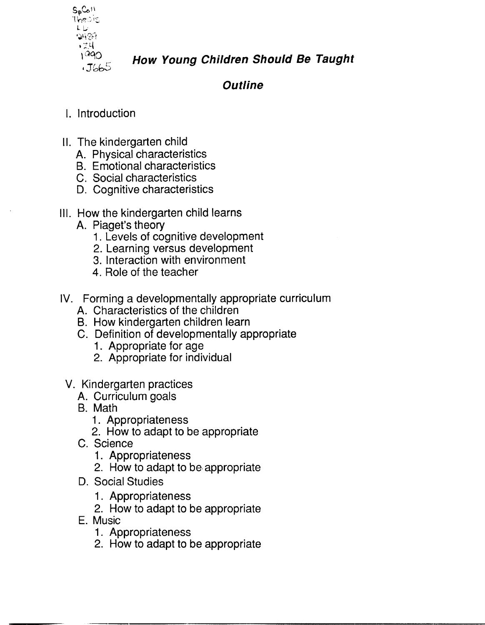

**How Young Children Should Be Taught** 

**Outline** 

# I. Introduction

- II. The kindergarten child
	- A. Physical characteristics
	- B. Emotional characteristics
	- C. Social characteristics
	- D. Cognitive characteristics
- III. How the kindergarten child learns
	- A. Piaget's theory
		- 1. Levels of cognitive development
		- 2. Learning versus development
		- 3. Interaction with environment
		- 4. Role of the teacher
- IV. Forming a developmentally appropriate curriculum
	- A. Characteristics of the children
	- B. How kindergarten children learn
	- C. Definition of developmentally appropriate
		- 1. Appropriate for age
		- 2. Appropriate for individual
- v. Kindergarten practices
	- A. Curriculum goals
	- B. Math
		- 1. Appropriateness
		- 2. How to adapt to be appropriate
	- C. Science
		- 1. Appropriateness
		- 2. How to adapt to be, appropriate
	- D. Social Studies
		- 1. Appropriateness
		- 2. How to adapt to be appropriate
	- E. Music
		- 1. Appropriateness
		- 2. How to adapt to be appropriate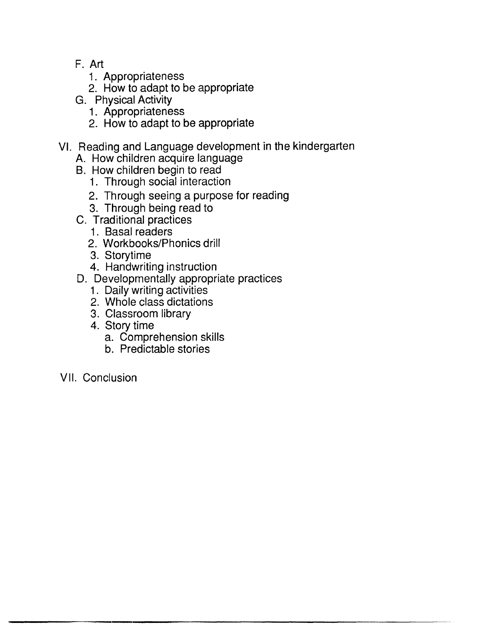- F. Art
	- 1. Appropriateness
	- 2. How to adapt to be appropriate
- G. Physical Activity
	- 1. Appropriateness
	- 2. How to adapt to be appropriate
- VI. Reading and Language development in the kindergarten
	- A. How children acquire language
	- B. How children begin to read
		- 1. Through social interaction
		- 2. Through seeing a purpose for reading
		- 3. Through being read to
	- C. Traditional practices
		- 1. Basal readers
		- 2. Workbooks/Phonics drill
		- 3. Story time
		- 4. Handwriting instruction
	- D. Developmentally appropriate practices
		- 1. Daily writing activities
		- 2. Whole class dictations
		- 3. Classroom library
		- 4. Story time
			- a. Comprehension skills
			- b. Predictable stories
- VII. Conclusion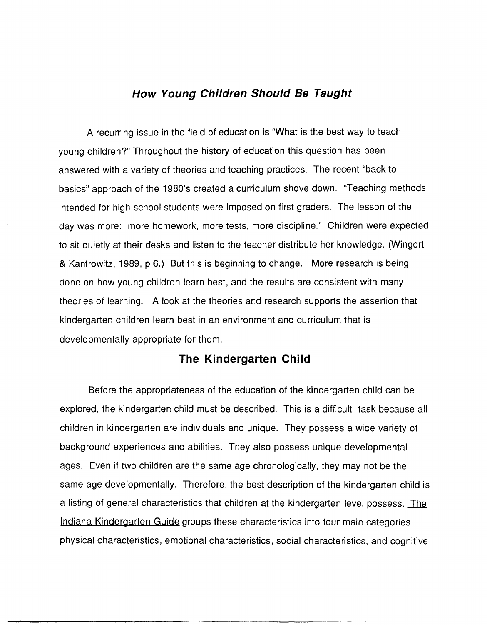## **How Young Children Should Be Taught**

A recurring issue in the field of education is "What is the best way to teach young children?" Throughout the history of education this question has been answered with a variety of theories and teaching practices. The recent "back to basics" approach of the 1980's created a curriculum shove down. "Teaching methods intended for high school students were imposed on first graders. The lesson of the day was more: more homework, more tests, more discipline." Children were expected to sit quietly at their desks and listen to the teacher distribute her knowledge. (Wingert & Kantrowitz, 1989, p 6.) But this is beginning to change. More research is being done on how young children learn best, and the results are consistent with many theories of learning. A look at the theories and research supports the assertion that kindergarten children learn best in an environment and curriculum that is developmentally appropriate for them.

## **The Kindergarten Child**

Before the appropriateness of the education of the kindergarten child can be explored, the kindergarten child must be described. This is a difficult task because all children in kindergarten are individuals and unique. They possess a wide variety of background experiences and abilities. They also possess unique developmental ages. Even if two children are the same age chronologically, they may not be the same age developmentally. Therefore, the best description of the kindergarten child is a listing of general characteristics that children at the kindergarten level possess. The Indiana Kindergarten Guide groups these characteristics into four main categories: phYSical characteristics, emotional characteristics, social characteristics, and cognitive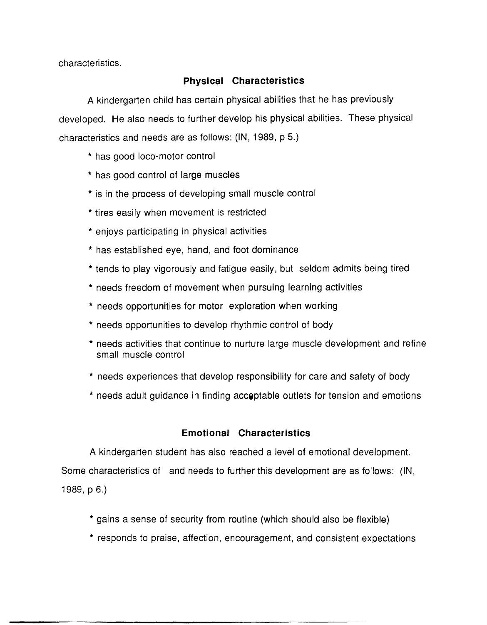characteristics.

## **Physical Characteristics**

A kindergarten child has certain physical abilities that he has previously developed. He also needs to further develop his physical abilities. These physical characteristics and needs are as follows: (IN, 1989, P 5.)

- \* has good loco-motor control
- \* has good control of large muscles
- \* is in the process of developing small muscle control
- \* tires easily when movement is restricted
- \* enjoys participating in physical activities
- \* has established eye, hand, and foot dominance
- \* tends to play vigorously and fatigue easily, but seldom admits being tired
- \* needs freedom of movement when pursuing learning activities
- \* needs opportunities for motor exploration when working
- \* needs opportunities to develop rhythmic control of body
- \* needs activities that continue to nurture large muscle development and refine small muscle control
- \* needs experiences that develop responsibility for care and safety of body
- \* needs adult guidance in finding accoptable outlets for tension and emotions

## **Emotional Characteristics**

A kindergarten student has also reached a level of emotional development. Some characteristics of and needs to further this development are as follows: (IN, 1989,  $p 6.$ 

- \* gains a sense of security from routine (which should also be flexible)
- \* responds to praise, affection, encouragement, and consistent expectations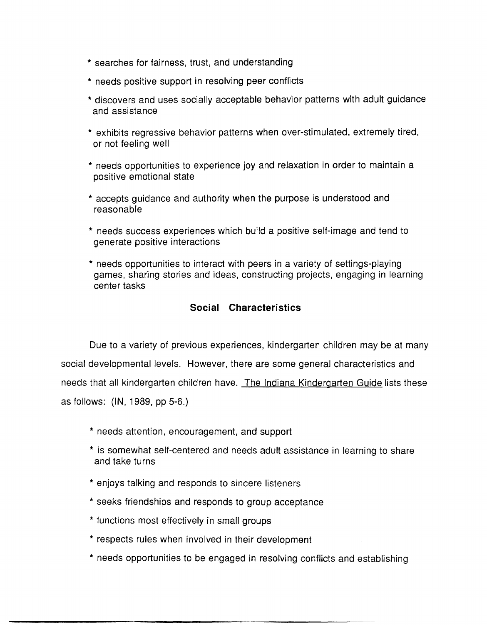- \* searches for fairness, trust, and understanding
- \* needs positive support in resolving peer conflicts
- \* discovers and uses socially acceptable behavior patterns with adult guidance and assistance
- \* exhibits regressive behavior patterns when over-stimulated, extremely tired, or not feeling well
- \* needs opportunities to experience joy and relaxation in order to maintain a positive emotional state
- \* accepts guidance and authority when the purpose is understood and reasonable
- \* needs success experiences which build a positive self-image and tend to generate positive interactions
- \* needs opportunities to interact with peers in a variety of settings-playing games, sharing stories and ideas, constructing projects, engaging in learning center tasks

## **Social Characteristics**

Due to a variety of previous experiences, kindergarten children may be at many social developmental levels. However, there are some general characteristics and needs that all kindergarten children have. The Indiana Kindergarten Guide lists these as follows: (IN, 1989, pp 5-6.)

- \* needs attention, encouragement, and support
- \* is somewhat self-centered and needs adult assistance in learning to share and take turns
- \* enjoys talking and responds to sincere listeners
- \* seeks friendships and responds to group acceptance
- \* functions most effectively in small groups
- \* respects rules when involved in their development
- \* needs opportunities to be engaged in resolving conflicts and establishing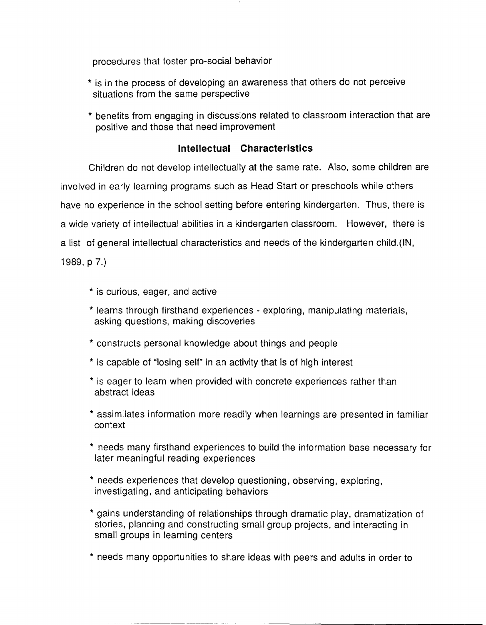procedures that foster pro-social behavior

- \* is in the process of developing an awareness that others do not perceive situations from the same perspective
- \* benefits from engaging in discussions related to classroom interaction that are positive and those that need improvement

## **Intellectual Characteristics**

Children do not develop intellectually at the same rate. Also, some children are involved in early learning programs such as Head Start or preschools while others have no experience in the school setting before entering kindergarten. Thus, there is a wide variety of intellectual abilities in a kindergarten classroom. However, there is a list of general intellectual characteristics and needs of the kindergarten child.(IN, 1989, p 7.)

- \* is curious, eager, and active
- \* learns through firsthand experiences exploring, manipulating materials, asking questions, making discoveries
- \* constructs personal knowledge about things and people
- \* is capable of "losing self" in an activity that is of high interest
- \* is eager to learn when provided with concrete experiences rather than abstract ideas
- \* assimilates information more readily when learnings are presented in familiar context
- \* needs many firsthand experiences to build the information base necessary for later meaningful reading experiences
- \* needs experiences that develop questioning, observing, exploring, investigating, and anticipating behaviors
- \* gains understanding of relationships through dramatic play, dramatization of stories, planning and constructing small group projects, and interacting in small groups in learning centers
- \* needs many opportunities to share ideas with peers and adults in order to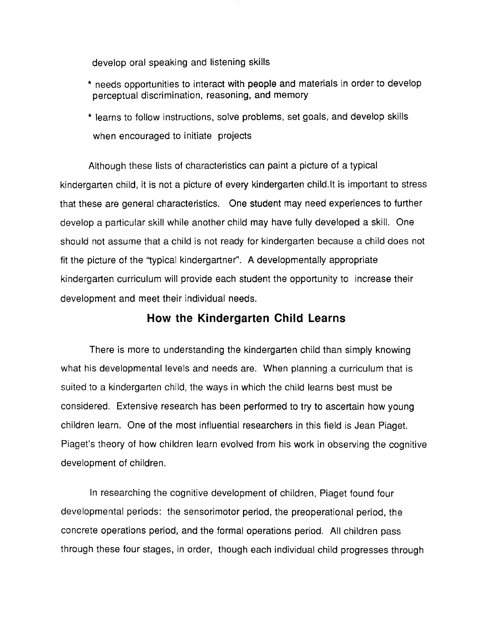develop oral speaking and listening skills

- \* needs opportunities to interact with people and materials in order to develop perceptual discrimination, reasoning, and memory
- \* learns to follow instructions, solve problems, set goals, and develop skills when encouraged to initiate projects

Although these lists of characteristics can paint a picture of a typical kindergarten child, it is not a picture of every kindergarten child.lt is important to stress that these are general characteristics. One student may need experiences to further develop a particular skill while another child may have fully developed a skill. One should not assume that a child is not ready for kindergarten because a child does not fit the picture of the "typical kindergartner". A developmentally appropriate kindergarten curriculum will provide each student the opportunity to increase their development and meet their individual needs.

# **How the Kindergarten Child Learns**

There is more to understanding the kindergarten child than simply knowing what his developmental levels and needs are. When planning a curriculum that is suited to a kindergarten child, the ways in which the child learns best must be considered. Extensive research has been performed to try to ascertain how young children learn. One of the most influential researchers in this field is Jean Piaget. Piaget's theory of how children learn evolved from his work in observing the cognitive development of children.

In researching the cognitive development of children, Piaget found four developmental periods: the sensorimotor period, the preoperational period, the concrete operations period, and the formal operations period. All children pass through these four stages, in order, though each individual child progresses through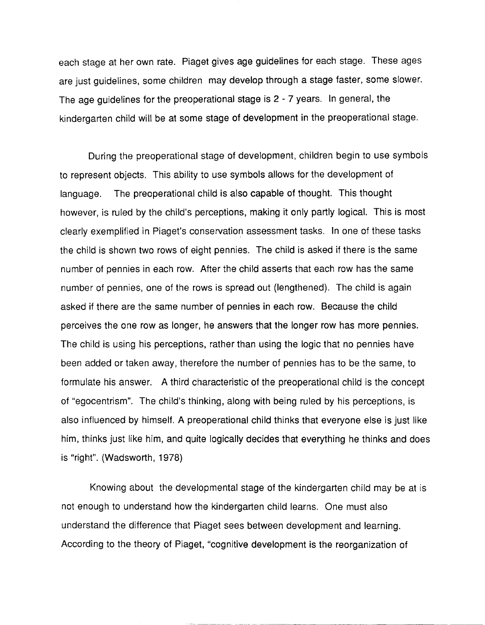each stage at her own rate. Piaget gives age guidelines for each stage. These ages are just guidelines, some children may develop through a stage faster, some slower. The age guidelines for the preoperational stage is 2 - 7 years. In general, the kindergarten child will be at some stage of development in the preoperational stage.

During the preoperational stage of development, children begin to use symbols to represent objects. This ability to use symbols allows for the development of language. The preoperational child is also capable of thought. This thought however, is ruled by the child's perceptions, making it only partly logical. This is most clearly exemplified in Piaget's conservation assessment tasks. In one of these tasks the child is shown two rows of eight pennies. The child is asked if there is the same number of pennies in each row. After the child asserts that each row has the same number of pennies, one of the rows is spread out (lengthened). The child is again asked if there are the same number of pennies in each row. Because the child perceives the one row as longer, he answers that the longer row has more pennies. The child is using his perceptions, rather than using the logic that no pennies have been added or taken away, therefore the number of pennies has to be the same, to formulate his answer. A third characteristic of the preoperational child is the concept of "egocentrism". The child's thinking, along with being ruled by his perceptions, is also influenced by himself. A preoperational child thinks that everyone else is just like him, thinks just like him, and quite logically decides that everything he thinks and does is "right". (Wadsworth, 1978)

Knowing about the developmental stage of the kindergarten child may be at is not enough to understand how the kindergarten child learns. One must also understand the difference that Piaget sees between development and learning. According to the theory of Piaget, "cognitive development is the reorganization of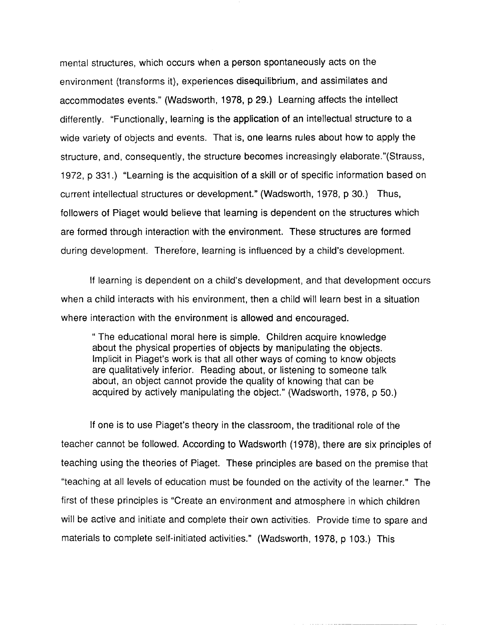mental structures, which occurs when a person spontaneously acts on the environment (transforms it), experiences disequilibrium, and assimilates and accommodates events." (Wadsworth, 1978, p 29.) Learning affects the intellect differently. "Functionally, learning is the application of an intellectual structure to a wide variety of objects and events. That is, one learns rules about how to apply the structure, and, consequently, the structure becomes increasingly elaborate."(Strauss, 1972, p 331.) "Learning is the acquisition of a skill or of specific information based on current intellectual structures or development." (Wadsworth, 1978, p 30.) Thus, followers of Piaget would believe that learning is dependent on the structures which are formed through interaction with the environment. These structures are formed during development. Therefore, learning is influenced by a child's development.

If learning is dependent on a child's development, and that development occurs when a child interacts with his environment, then a child will learn best in a situation where interaction with the environment is allowed and encouraged.

" The educational moral here is simple. Children acquire knowledge about the physical properties of objects by manipulating the objects. Implicit in Piaget's work is that all other ways of coming to know objects are qualitatively inferior. Reading about, or listening to someone talk about, an object cannot provide the quality of knowing that can be acquired by actively manipulating the object." (Wadsworth, 1978, p 50.)

If one is to use Piaget's theory in the classroom, the traditional role of the teacher cannot be followed. According to Wadsworth (1978), there are six principles of teaching using the theories of Piaget. These principles are based on the premise that "teaching at all levels of education must be founded on the activity of the learner." The first of these principles is "Create an environment and atmosphere in which children will be active and initiate and complete their own activities. Provide time to spare and materials to complete self-initiated activities." (Wadsworth, 1978, p 103.) This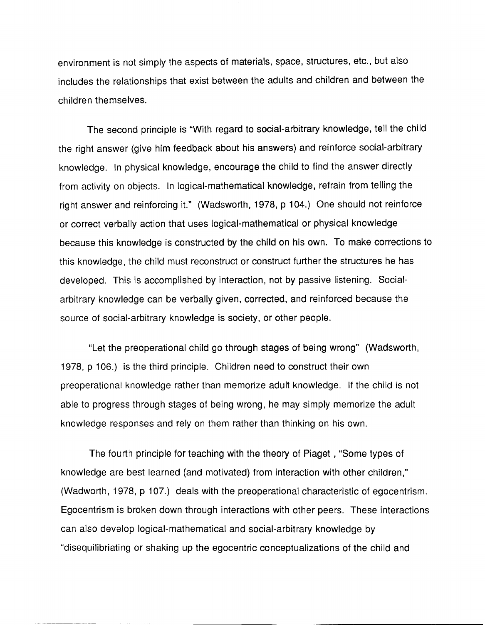environment is not simply the aspects of materials, space, structures, etc., but also includes the relationships that exist between the adults and children and between the children themselves.

The second principle is "With regard to social-arbitrary knowledge, tell the child the right answer (give him feedback about his answers) and reinforce social-arbitrary knowledge. In physical knowledge, encourage the child to find the answer directly from activity on objects. In logical-mathematical knowledge, refrain from telling the right answer and reinforcing it." (Wadsworth, 1978, p 104.) One should not reinforce or correct verbally action that uses logical-mathematical or physical knowledge because this knowledge is constructed by the child on his own. To make corrections to this knowledge, the child must reconstruct or construct further the structures he has developed. This is accomplished by interaction, not by passive listening. Socialarbitrary knowledge can be verbally given, corrected, and reinforced because the source of social-arbitrary knowledge is society, or other people.

"Let the preoperational child go through stages of being wrong" (Wadsworth, 1978, p 106.) is the third principle. Children need to construct their own preoperational knowledge rather than memorize adult knowledge. If the child is not able to progress through stages of being wrong, he may simply memorize the adult knowledge responses and rely on them rather than thinking on his own.

The fourth principle for teaching with the theory of Piaget , "Some types of knowledge are best learned (and motivated) from interaction with other children," (Wadworth, 1978, p 107.) deals with the preoperational characteristic of egocentrism. Egocentrism is broken down through interactions with other peers. These interactions can also develop logical-mathematical and social-arbitrary knowledge by "disequilibriating or shaking up the egocentric conceptualizations of the child and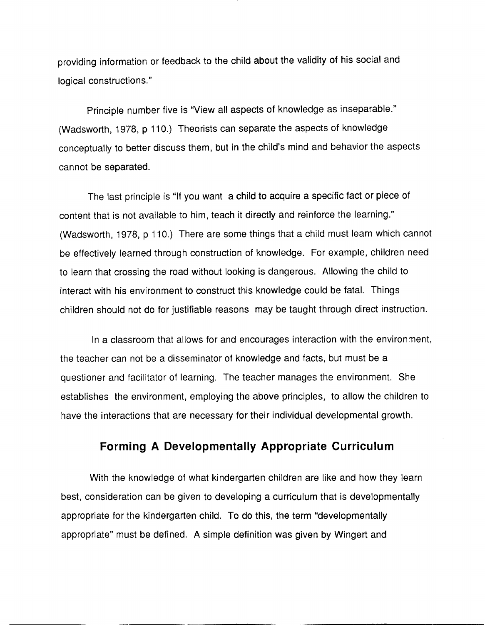providing information or feedback to the child about the validity of his social and logical constructions."

Principle number five is "View all aspects of knowledge as inseparable." (Wadsworth, 1978, p 110.) Theorists can separate the aspects of knowledge conceptually to better discuss them, but in the child's mind and behavior the aspects cannot be separated.

The last principle is "If you want a child to acquire a specific fact or piece of content that is not available to him, teach it directly and reinforce the learning." (Wadsworth, 1978, p 110.) There are some things that a child must learn which cannot be effectively learned through construction of knowledge. For example, children need to learn that crossing the road without looking is dangerous. Allowing the child to interact with his environment to construct this knowledge could be fatal. Things children should not do for justifiable reasons may be taught through direct instruction.

In a classroom that allows for and encourages interaction with the environment, the teacher can not be a disseminator of knowledge and facts, but must be a questioner and facilitator of learning. The teacher manages the environment. She establishes the environment, employing the above principles, to allow the children to have the interactions that are necessary for their individual developmental growth.

# **Forming A Developmentally Appropriate Curriculum**

With the knowledge of what kindergarten children are like and how they learn best, consideration can be given to developing a curriculum that is developmentally appropriate for the kindergarten child. To do this, the term "developmentally appropriate" must be defined. A simple definition was given by Wingert and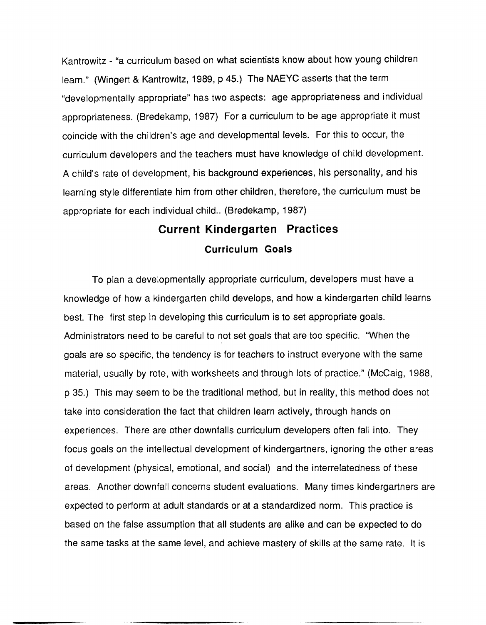Kantrowitz - "a curriculum based on what scientists know about how young children learn." (Wingert & Kantrowitz, 1989, p 45.) The NAEYC asserts that the term "developmentally appropriate" has two aspects: age appropriateness and individual appropriateness. (Bredekamp, 1987) For a curriculum to be age appropriate it must coincide with the children's age and developmental levels. For this to occur, the curriculum developers and the teachers must have knowledge of child development. A child's rate of development, his background experiences, his personality, and his learning style differentiate him from other children, therefore, the curriculum must be appropriate for each individual child.. (Bredekamp, 1987)

# **Current Kindergarten Practices Curriculum Goals**

To plan a developmentally appropriate curriculum, developers must have a knowledge of how a kindergarten child develops, and how a kindergarten child learns best. The first step in developing this curriculum is to set appropriate goals. Administrators need to be careful to not set goals that are too specific. "When the goals are so specific, the tendency is for teachers to instruct everyone with the same material, usually by rote, with worksheets and through lots of practice." (McCaig, 1988, p 35.) This may seem to be the traditional method, but in reality, this method does not take into consideration the fact that children learn actively, through hands on experiences. There are other downfalls curriculum developers often fall into. They focus goals on the intellectual development of kindergartners, ignoring the other areas of development (physical, emotional, and social) and the interrelatedness of these areas. Another downfall concerns student evaluations. Many times kindergartners are expected to perform at adult standards or at a standardized norm. This practice is based on the false assumption that all students are alike and can be expected to do the same tasks at the same level, and achieve mastery of skills at the same rate. It is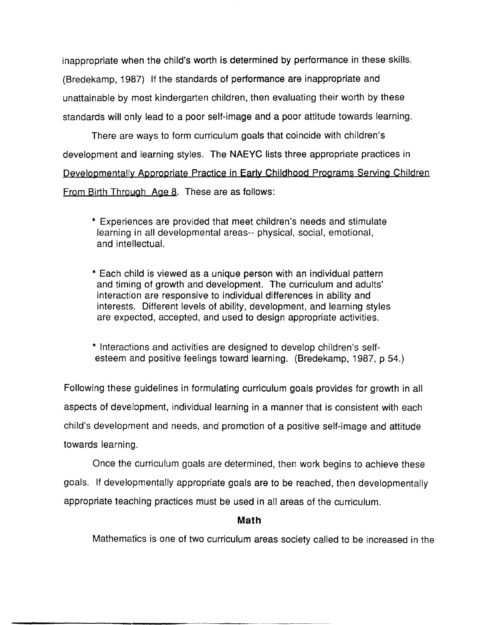inappropriate when the child's worth is determined by performance in these skills. (Bredekamp, 1987) If the standards of performance are inappropriate and unattainable by most kindergarten children, then evaluating their worth by these standards will only lead to a poor self-image and a poor attitude towards learning.

There are ways to form curriculum goals that coincide with children's development and learning styles. The NAEYC lists three appropriate practices in Developmentally Appropriate Practice in Early Childhood Programs Serving Children From Birth Through Age 8. These are as follows:

- \* Experiences are provided that meet children's needs and stimulate learning in all developmental areas-- physical, social, emotional, and intellectual.
- \* Each child is viewed as a unique person with an individual pattern and timing of growth and development. The curriculum and adults' interaction are responsive to individual differences in ability and interests. Different levels of ability, development, and learning styles are expected, accepted, and used to design appropriate activities.

\* Interactions and activities are designed to develop children's selfesteem and positive feelings toward learning. (Bredekamp, 1987, p 54.)

Following these guidelines in formulating curriculum goals provides for growth in all aspects of development, individual learning in a manner that is consistent with each child's development and needs, and promotion of a positive self-image and attitude towards learning.

Once the curriculum goals are determined, then work begins to achieve these goals. If developmentally appropriate goals are to be reached, then developmentally appropriate teaching practices must be used in all areas of the curriculum.

## **Math**

Mathematics is one of two curriculum areas society called to be increased in the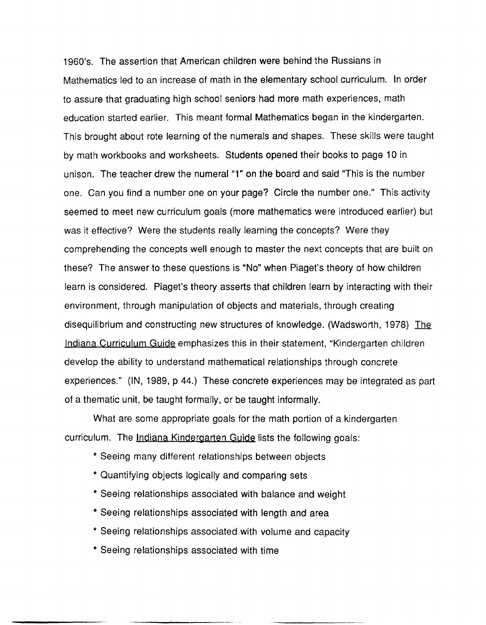1960's. The assertion that American children were behind the Russians in Mathematics led to an increase of math in the elementary school curriculum. In order to assure that graduating high school seniors had more math experiences, math education started earlier. This meant formal Mathematics began in the kindergarten. This brought about rote learning of the numerals and shapes. These skills were taught by math workbooks and worksheets. Students opened their books to page 10 in unison. The teacher drew the numeral "1" on the board and said "This is the number one. Can you find a number one on your page? Circle the number one." This activity seemed to meet new curriculum goals (more mathematics were introduced earlier) but was it effective? Were the students really learning the concepts? Were they comprehending the concepts well enough to master the next concepts that are built on these? The answer to these questions is "No" when Piaget's theory of how children learn is considered. Piaget's theory asserts that children learn by interacting with their environment, through manipulation of objects and materials, through creating disequilibrium and constructing new structures of knowledge. (Wadsworth, 1978) The Indiana Curriculum Guide emphasizes this in their statement, "Kindergarten children develop the ability to understand mathematical relationships through concrete experiences." (IN, 1989, p 44.) These concrete experiences may be integrated as part of a thematic unit, be taught formally, or be taught informally.

What are some appropriate goals for the math portion of a kindergarten curriculum. The Indiana Kindergarten Guide lists the following goals:

- \* Seeing many different relationships between objects
- \* Quantifying objects logically and comparing sets
- \* Seeing relationships associated with balance and weight
- \* Seeing relationships associated with length and area
- \* Seeing relationships associated with volume and capacity
- \* Seeing relationships associated with time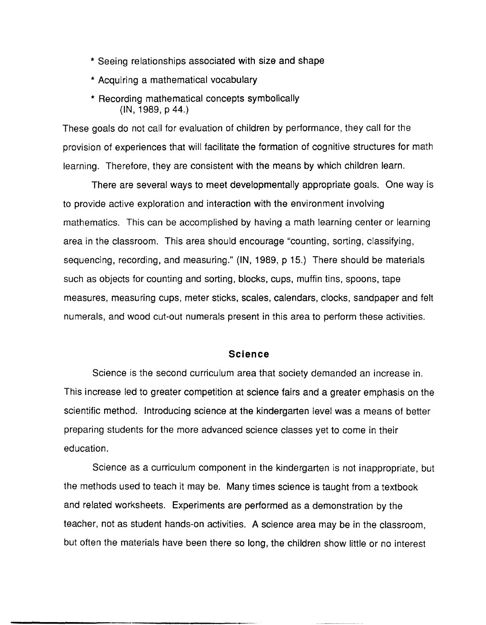- \* Seeing relationships associated with size and shape
- \* Acquiring a mathematical vocabulary
- \* Recording mathematical concepts symbolically  $(IN, 1989, p 44.)$

These goals do not call for evaluation of children by performance, they call for the provision of experiences that will facilitate the formation of cognitive structures for math learning. Therefore, they are consistent with the means by which children learn.

There are several ways to meet developmentally appropriate goals. One way is to provide active exploration and interaction with the environment involving mathematics. This can be accomplished by having a math learning center or learning area in the classroom. This area should encourage "counting, sorting, classifying, sequencing, recording, and measuring." (IN, 1989, p 15.) There should be materials such as objects for counting and sorting, blocks, cups, muffin tins, spoons, tape measures, measuring cups, meter sticks, scales, calendars, clocks, sandpaper and felt numerals, and wood cut-out numerals present in this area to perform these activities.

#### **Science**

Science is the second curriculum area that society demanded an increase in. This increase led to greater competition at science fairs and a greater emphasis on the scientific method. Introducing science at the kindergarten level was a means of better preparing students for the more advanced science classes yet to come in their education.

Science as a curriculum component in the kindergarten is not inappropriate, but the methods used to teach it may be. Many times science is taught from a textbook and related worksheets. Experiments are performed as a demonstration by the teacher, not as student hands-on activities. A science area may be in the classroom, but often the materials have been there so long, the children show little or no interest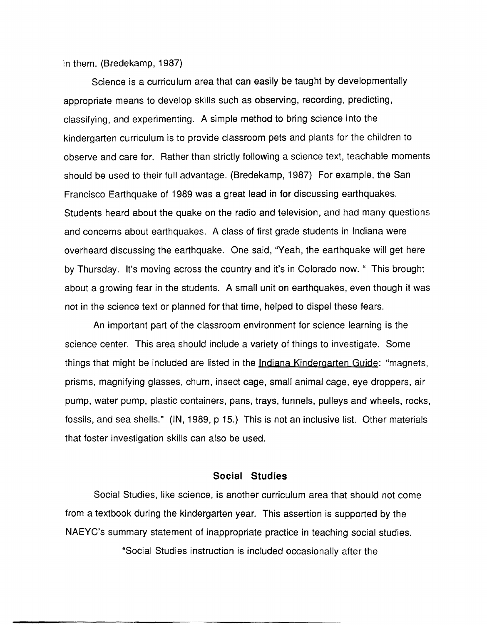in them. (Bredekamp, 1987)

Science is a curriculum area that can easily be taught by developmentally appropriate means to develop skills such as observing, recording, predicting, classifying, and experimenting. A simple method to bring science into the kindergarten curriculum is to provide classroom pets and plants for the children to observe and care for. Rather than strictly following a science text, teachable moments should be used to their full advantage. (Bredekamp, 1987) For example, the San Francisco Earthquake of 1989 was a great lead in for discussing earthquakes. Students heard about the quake on the radio and television, and had many questions and concerns about earthquakes. A class of first grade students in Indiana were overheard discussing the earthquake. One said, "Yeah, the earthquake will get here by Thursday. It's moving across the country and it's in Colorado now." This brought about a growing fear in the students. A small unit on earthquakes, even though it was not in the science text or planned for that time, helped to dispel these fears.

An important part of the classroom environment for science learning is the science center. This area should include a variety of things to investigate. Some things that might be included are listed in the Indiana Kindergarten Guide: "magnets, prisms, magnifying glasses, churn, insect cage, small animal cage, eye droppers, air pump, water pump, plastic containers, pans, trays, funnels, pulleys and wheels, rocks, fossils, and sea shells." (IN, 1989, p 15.) This is not an inclusive list. Other materials that foster investigation skills can also be used.

#### **Social Studies**

Social Studies, like science, is another curriculum area that should not come from a textbook during the kindergarten year. This assertion is supported by the NAEYC's summary statement of inappropriate practice in teaching social studies.

"Social Studies instruction is included occasionally after the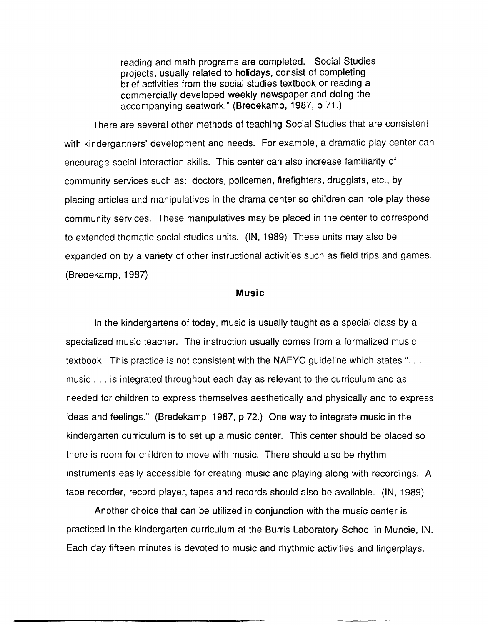reading and math programs are completed. Social Studies projects, usually related to holidays, consist of completing brief activities from the social studies textbook or reading a commercially developed weekly newspaper and doing the accompanying seatwork." (Bredekamp, 1987, p 71.)

There are several other methods of teaching Social Studies that are consistent with kindergartners' development and needs. For example, a dramatic play center can encourage social interaction skills. This center can also increase familiarity of community services such as: doctors, policemen, firefighters, druggists, etc., by placing articles and manipulatives in the drama center so children can role play these community services. These manipulatives may be placed in the center to correspond to extended thematic social studies units. (IN, 1989) These units may also be expanded on by a variety of other instructional activities such as field trips and games. (Bredekamp, 1987)

#### **Music**

In the kindergartens of today, music is usually taught as a special class by a specialized music teacher. The instruction usually comes from a formalized music textbook. This practice is not consistent with the NAEYC guideline which states "... music ... is integrated throughout each day as relevant to the curriculum and as needed for children to express themselves aesthetically and physically and to express ideas and feelings." (Bredekamp, 1987, p 72.) One way to integrate music in the kindergarten curriculum is to set up a music center. This center should be placed so there is room for children to move with music. There should also be rhythm instruments easily accessible for creating music and playing along with recordings. A tape recorder, record player, tapes and records should also be available. (IN, 1989)

Another choice that can be utilized in conjunction with the music center is practiced in the kindergarten curriculum at the Burris Laboratory School in Muncie, IN. Each day fifteen minutes is devoted to music and rhythmic activities and fingerplays.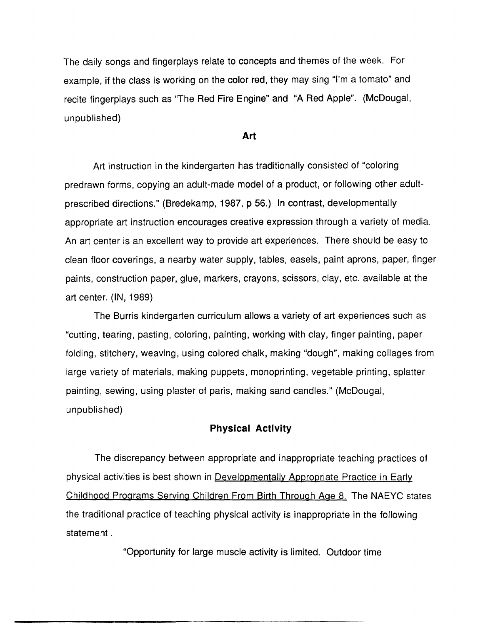The daily songs and fingerplays relate to concepts and themes of the week. For example, if the class is working on the color red, they may sing "I'm a tomato" and recite fingerplays such as "The Red Fire Engine" and "A Red Apple". (McDougal, unpublished)

#### **Art**

Art instruction in the kindergarten has traditionally consisted of "coloring predrawn forms, copying an adult-made model of a product, or following other adultprescribed directions." (Bredekamp, 1987, p 56.) In contrast, developmentally appropriate art instruction encourages creative expression through a variety of media. An art center is an excellent way to provide art experiences. There should be easy to clean floor coverings, a nearby water supply, tables, easels, paint aprons, paper, finger paints, construction paper, glue, markers, crayons, scissors, clay, etc. available at the art center. (IN, 1989)

The Burris kindergarten curriculum allows a variety of art experiences such as "cutting, tearing, pasting, coloring, painting, working with clay, finger painting, paper folding, stitchery, weaving, using colored chalk, making "dough", making collages from large variety of materials, making puppets, monoprinting, vegetable printing, splatter painting, sewing, using plaster of paris, making sand candles." (McDougal, unpublished)

#### **Physical Activity**

The discrepancy between appropriate and inappropriate teaching practices of physical activities is best shown in Developmentally Appropriate Practice in Early Childhood Programs Serving Children From Birth Through Age 8. The NAEYC states the traditional practice of teaching physical activity is inappropriate in the following statement.

"Opportunity for large muscle activity is limited. Outdoor time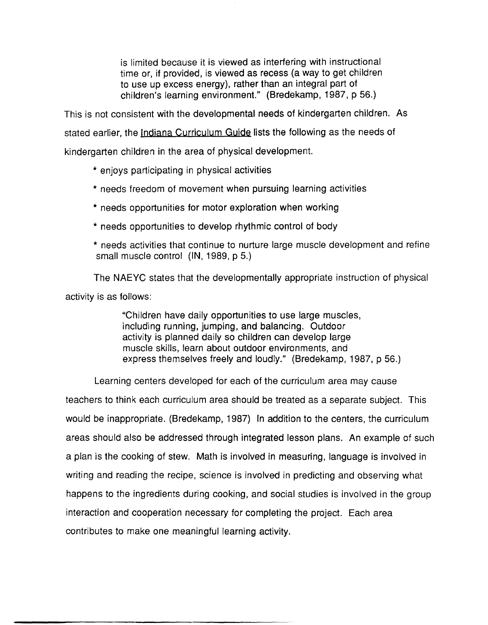is limited because it is viewed as interfering with instructional time or, if provided, is viewed as recess (a way to get children to use up excess energy), rather than an integral part of children's learning environment." (Bredekamp, 1987, p 56.)

This is not consistent with the developmental needs of kindergarten children. As

stated earlier, the Indiana Curriculum Guide lists the following as the needs of

kindergarten children in the area of physical development.

- \* enjoys participating in physical activities
- \* needs freedom of movement when pursuing learning activities
- \* needs opportunities for motor exploration when working
- \* needs opportunities to develop rhythmic control of body
- \* needs activities that continue to nurture large muscle development and refine small muscle control (IN, 1989, p 5.)

The NAEVC states that the developmentally appropriate instruction of physical activity is as follows:

> "Children have daily opportunities to use large muscles, including running, jumping, and balancing. Outdoor activity is planned daily so children can develop large muscle skills, learn about outdoor environments, and express themselves freely and loudly." (Bredekamp, 1987, p 56.)

Learning centers developed for each of the curriculum area may cause

teachers to think each curriculum area should be treated as a separate subject. This would be inappropriate. (Bredekamp, 1987) In addition to the centers, the curriculum areas should also be addressed through integrated lesson plans. An example of such a plan is the cooking of stew. Math is involved in measuring, language is involved in writing and reading the recipe, science is involved in predicting and observing what happens to the ingredients during cooking, and social studies is involved in the group interaction and cooperation necessary for completing the project. Each area contributes to make one meaningful learning activity.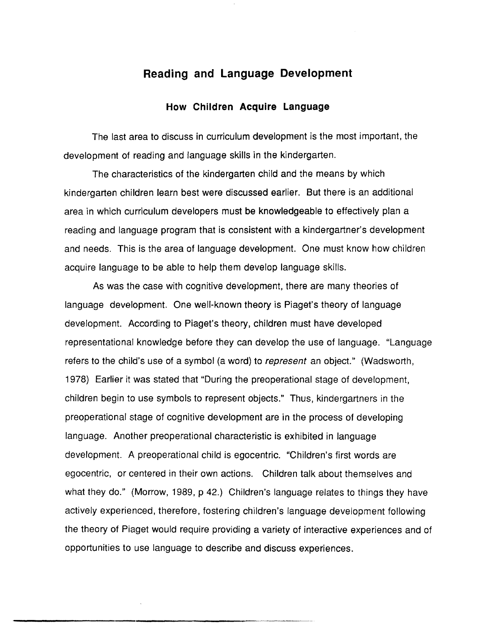# **Reading and Language Development**

#### **How Children Acquire Language**

The last area to discuss in curriculum development is the most important, the development of reading and language skills in the kindergarten.

The characteristics of the kindergarten child and the means by which kindergarten children learn best were discussed earlier. But there is an additional area in which curriculum developers must be knowledgeable to effectively plan a reading and language program that is consistent with a kindergartner's development and needs. This is the area of language development. One must know how children acquire language to be able to help them develop language skills.

As was the case with cognitive development, there are many theories of language development. One well-known theory is Piaget's theory of language development. According to Piaget's theory, children must have developed representational knowledge before they can develop the use of language. "Language refers to the child's use of a symbol (a word) to represent an object." (Wadsworth, 1978) Earlier it was stated that "During the preoperational stage of development, children begin to use symbols to represent objects." Thus, kindergartners in the preoperational stage of cognitive development are in the process of developing language. Another preoperational characteristic is exhibited in language development. A preoperational child is egocentric. "Children's first words are egocentric, or centered in their own actions. Children talk about themselves and what they do." (Morrow, 1989, p 42.) Children's language relates to things they have actively experienced, therefore, fostering children's language development following the theory of Piaget would require providing a variety of interactive experiences and of opportunities to use language to describe and discuss experiences.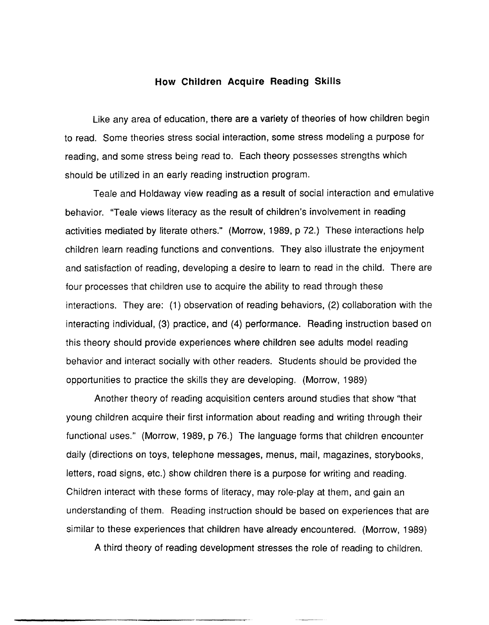#### **How Children Acquire Reading Skills**

Like any area of education, there are a variety of theories of how children begin to read. Some theories stress social interaction, some stress modeling a purpose for reading, and some stress being read to. Each theory possesses strengths which should be utilized in an early reading instruction program.

Teale and Holdaway view reading as a result of social interaction and emulative behavior. "Teale views literacy as the result of children's involvement in reading activities mediated by literate others." (Morrow, 1989, p 72.) These interactions help children learn reading functions and conventions. They also illustrate the enjoyment and satisfaction of reading, developing a desire to learn to read in the child. There are four processes that children use to acquire the ability to read through these interactions. They are: (1) observation of reading behaviors, (2) collaboration with the interacting individual, (3) practice, and (4) performance. Reading instruction based on this theory should provide experiences where children see adults model reading behavior and interact socially with other readers. Students should be provided the opportunities to practice the skills they are developing. (Morrow, 1989)

Another theory of reading acquisition centers around studies that show "that young children acquire their first information about reading and writing through their functional uses." (Morrow, 1989, p 76.) The language forms that children encounter daily (directions on toys, telephone messages, menus, mail, magazines, storybooks, letters, road signs, etc.) show children there is a purpose for writing and reading. Children interact with these forms of literacy, may role-play at them, and gain an understanding of them. Reading instruction should be based on experiences that are similar to these experiences that children have already encountered. (Morrow, 1989)

A third theory of reading development stresses the role of reading to children.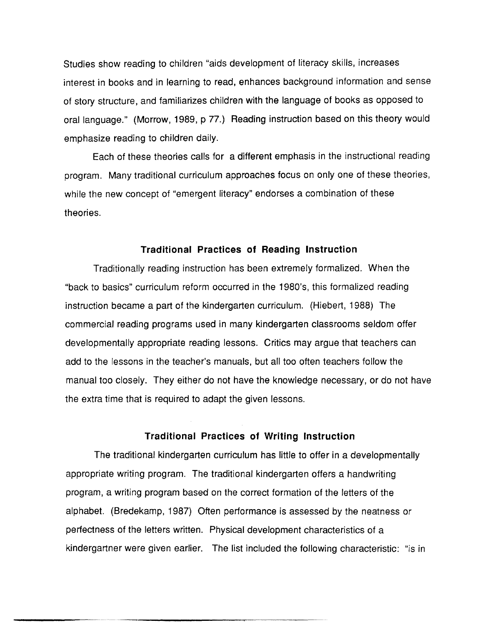Studies show reading to children "aids development of literacy skills, increases interest in books and in learning to read, enhances background information and sense of story structure, and familiarizes children with the language of books as opposed to oral language." (Morrow, 1989, p 77.) Reading instruction based on this theory would emphasize reading to children daily.

Each of these theories calls for a different emphasis in the instructional reading program. Many traditional curriculum approaches focus on only one of these theories, while the new concept of "emergent literacy" endorses a combination of these theories.

#### **Traditional Practices of Reading Instruction**

Traditionally reading instruction has been extremely formalized. When the "back to basics" curriculum reform occurred in the 1980's, this formalized reading instruction became a part of the kindergarten curriculum. (Hiebert, 1988) The commercial reading programs used in many kindergarten classrooms seldom offer developmentally appropriate reading lessons. Critics may argue that teachers can add to the lessons in the teacher's manuals, but all too often teachers follow the manual too closely. They either do not have the knowledge necessary, or do not have the extra time that is required to adapt the given lessons.

#### **Traditional Practices of Writing Instruction**

The traditional kindergarten curriculum has little to offer in a developmentally appropriate writing program. The traditional kindergarten offers a handwriting program, a writing program based on the correct formation of the letters of the alphabet. (Bredekamp, 1987) Often performance is assessed by the neatness or perfectness of the letters written. Physical development characteristics of a kindergartner were given earlier. The list included the following characteristic: "is in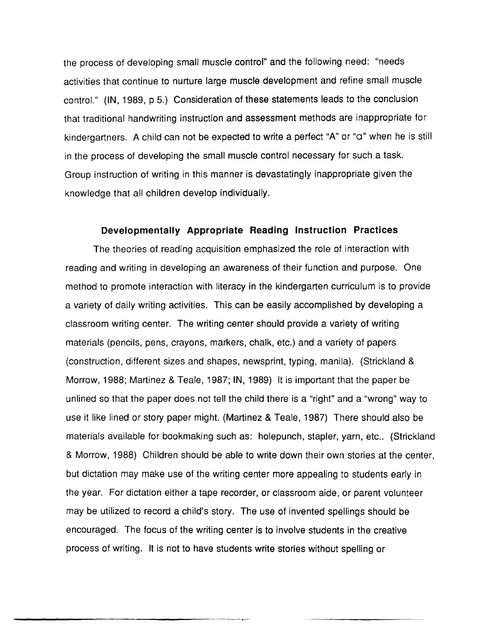the process of developing small muscle control" and the following need: "needs activities that continue to nurture large muscle development and refine small muscle control." (IN, 1989, p 5.) Consideration of these statements leads to the conclusion that traditional handwriting instruction and assessment methods are inappropriate for kindergartners. A child can not be expected to write a perfect "A" or "a" when he is still in the process of developing the small muscle control necessary for such a task. Group instruction of writing in this manner is devastatingly inappropriate given the knowledge that all children develop individually.

#### **Developmentally Appropriate Reading Instruction Practices**

The theories of reading acquisition emphasized the role of interaction with reading and writing in developing an awareness of their function and purpose. One method to promote interaction with literacy in the kindergarten curriculum is to provide a variety of daily writing activities. This can be easily accomplished by developing a classroom writing center. The writing center should provide a variety of writing materials (pencils, pens, crayons, markers, chalk, etc.) and a variety of papers (construction, different sizes and shapes, newsprint, typing, manila). (Strickland & Morrow, 1988; Martinez & Teale, 1987; IN, 1989) It is important that the paper be unlined so that the paper does not tell the child there is a "right" and a "wrong" way to use it like lined or story paper might. (Martinez & Teale, 1987) There should also be materials available for bookmaking such as: holepunch, stapler, yarn, etc.. (Strickland & Morrow, 1988) Children should be able to write down their own stories at the center, but dictation may make use of the writing center more appealing to students early in the year. For dictation either a tape recorder, or classroom aide, or parent volunteer may be utilized to record a child's story. The use of invented spellings should be encouraged. The focus of the writing center is to involve students in the creative process of writing. It is not to have students write stories without spelling or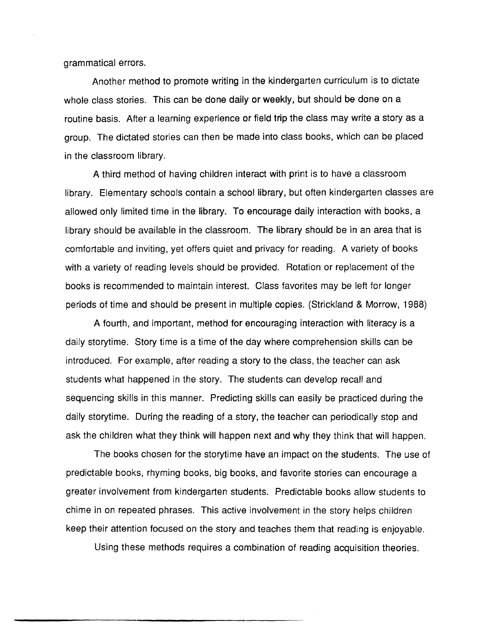grammatical errors.

Another method to promote writing in the kindergarten curriculum is to dictate whole class stories. This can be done daily or weekly, but should be done on a routine basis. After a learning experience or field trip the class may write a story as a group. The dictated stories can then be made into class books, which can be placed in the classroom library.

A third method of having children interact with print is to have a classroom library. Elementary schools contain a school library, but often kindergarten classes are allowed only limited time in the library. To encourage daily interaction with books, a library should be available in the classroom. The library should be in an area that is comfortable and inviting, yet offers quiet and privacy for reading. A variety of books with a variety of reading levels should be provided. Rotation or replacement of the books is recommended to maintain interest. Class favorites may be left for longer periods of time and should be present in multiple copies. (Strickland & Morrow, 1988)

A fourth, and important, method for encouraging interaction with literacy is a daily story time. Story time is a time of the day where comprehension skills can be introduced. For example, after reading a story to the class, the teacher can ask students what happened in the story. The students can develop recall and sequencing skills in this manner. Predicting skills can easily be practiced during the daily story time. During the reading of a story, the teacher can periodically stop and ask the children what they think will happen next and why they think that will happen.

The books chosen for the story time have an impact on the students. The use of predictable books, rhyming books, big books, and favorite stories can encourage a greater involvement from kindergarten students. Predictable books allow students to chime in on repeated phrases. This active involvement in the story helps children keep their attention focused on the story and teaches them that reading is enjoyable.

Using these methods requires a combination of reading acquisition theories.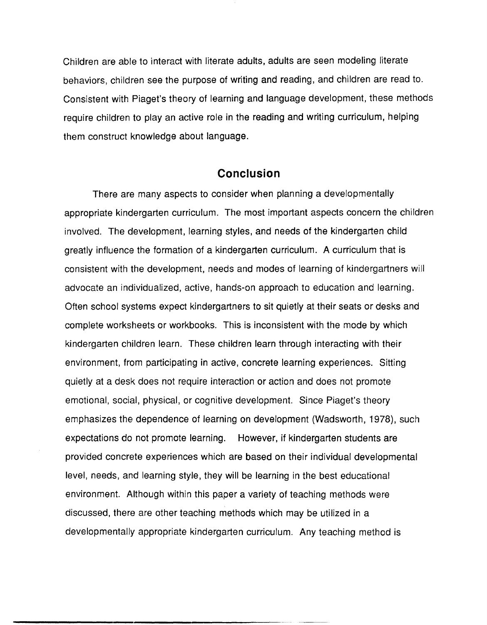Children are able to interact with literate adults, adults are seen modeling literate behaviors, children see the purpose of writing and reading, and children are read to. Consistent with Piaget's theory of learning and language development, these methods require children to play an active role in the reading and writing curriculum, helping them construct knowledge about language.

## **Conclusion**

There are many aspects to consider when planning a developmentally appropriate kindergarten curriculum. The most important aspects concern the children involved. The development, learning styles, and needs of the kindergarten child greatly influence the formation of a kindergarten curriculum. A curriculum that is consistent with the development, needs and modes of learning of kindergartners will advocate an individualized, active, hands-on approach to education and learning. Often school systems expect kindergartners to sit quietly at their seats or desks and complete worksheets or workbooks. This is inconsistent with the mode by which kindergarten children learn. These children learn through interacting with their environment, from participating in active, concrete learning experiences. Sitting quietly at a desk does not require interaction or action and does not promote emotional, social, physical, or cognitive development. Since Piaget's theory emphasizes the dependence of learning on development (Wadsworth, 1978), such expectations do not promote learning. However, if kindergarten students are provided concrete experiences which are based on their individual developmental level, needs, and learning style, they will be learning in the best educational environment. Although within this paper a variety of teaching methods were discussed, there are other teaching methods which may be utilized in a developmentally appropriate kindergarten curriculum. Any teaching method is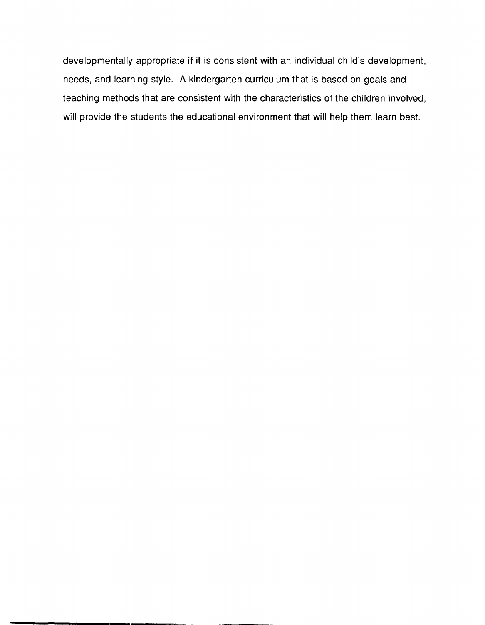developmentally appropriate if it is consistent with an individual child's development, needs, and learning style. A kindergarten curriculum that is based on goals and teaching methods that are consistent with the characteristics of the children involved, will provide the students the educational environment that will help them learn best.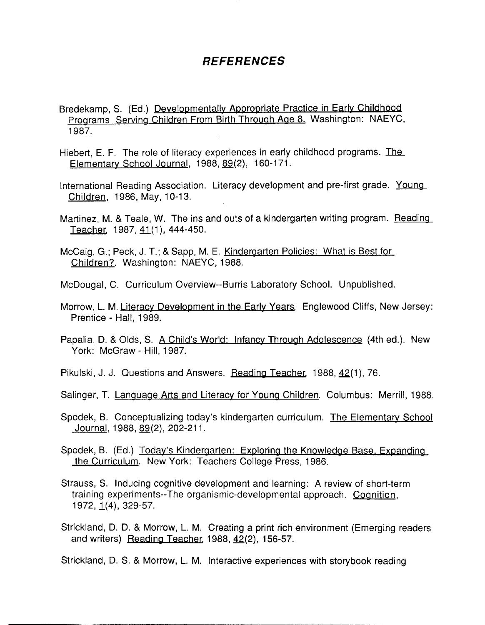# *REFERENCES*

- Bredekamp, S. (Ed.) Developmentally Appropriate Practice in Early Childhood Programs Serving Children From Birth Through Age 8. Washington: NAEYC, 1987.
- Hiebert, E. F. The role of literacy experiences in early childhood programs. The Elementary School Journal, 1988, 89(2), 160-171.
- International Reading Association. Literacy development and pre-first grade. Young Children, 1986, May, 10-13.
- Martinez, M. & Teale, W. The ins and outs of a kindergarten writing program. Reading Teacher, 1987, 41(1), 444-450.
- McCaig, G.; Peck, J. T.; & Sapp, M. E. Kindergarten Policies: What is Best for Children?. Washington: NAEYC, 1988.
- McDougal, C. Curriculum Overview--Burris Laboratory School. Unpublished.
- Morrow, L. M. Literacy Development in the Early Years. Englewood Cliffs, New Jersey: Prentice - Hall, 1989.
- Papalia, D. & Olds, S. A Child's World: Infancy Through Adolescence (4th ed.). New York: McGraw - Hill, 1987.
- Pikulski, J. J. Questions and Answers. Reading Teacher, 1988, 42(1), 76.
- Salinger, T. Language Arts and Literacy for Young Children. Columbus: Merrill, 1988.
- Spodek, B. Conceptualizing today's kindergarten curriculum. The Elementary School Journal, 1988, 89(2), 202-211.
- Spodek, B. (Ed.) Today's Kindergarten: Exploring the Knowledge Base. Expanding the Curriculum. New York: Teachers College Press, 1986.
- Strauss, S. Inducing cognitive development and learning: A review of short-term training experiments--The organismic-developmental approach. Cognition, 1972, 1(4), 329-57.
- Strickland, D. D. & Morrow, L. M. Creating a print rich environment (Emerging readers and writers) Reading Teacher. 1988, 42(2), 156-57.
- Strickland, D. S. & Morrow, L. M. Interactive experiences with storybook reading